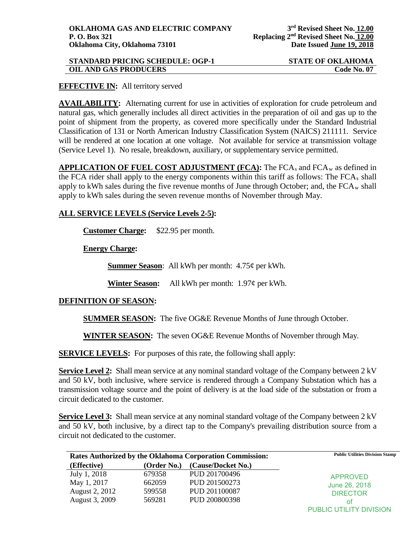| <b>STANDARD PRICING SCHEDULE: OGP-1</b> | <b>STATE OF OKLAHOMA</b> |
|-----------------------------------------|--------------------------|
| <b>OIL AND GAS PRODUCERS</b>            | Code No. 07              |

## **EFFECTIVE IN:** All territory served

**AVAILABILITY:** Alternating current for use in activities of exploration for crude petroleum and natural gas, which generally includes all direct activities in the preparation of oil and gas up to the point of shipment from the property, as covered more specifically under the Standard Industrial Classification of 131 or North American Industry Classification System (NAICS) 211111. Service will be rendered at one location at one voltage. Not available for service at transmission voltage (Service Level 1). No resale, breakdown, auxiliary, or supplementary service permitted.

**APPLICATION OF FUEL COST ADJUSTMENT (FCA):** The FCA<sub>s</sub> and FCA<sub>w</sub> as defined in the FCA rider shall apply to the energy components within this tariff as follows: The  $FCA<sub>s</sub>$  shall apply to kWh sales during the five revenue months of June through October; and, the  $FCA_w$  shall apply to kWh sales during the seven revenue months of November through May.

## **ALL SERVICE LEVELS (Service Levels 2-5):**

**Customer Charge:** \$22.95 per month.

**Energy Charge:**

**Summer Season**: All kWh per month: 4.75¢ per kWh.

**Winter Season:** All kWh per month: 1.97¢ per kWh.

## **DEFINITION OF SEASON:**

**SUMMER SEASON:** The five OG&E Revenue Months of June through October.

**WINTER SEASON:** The seven OG&E Revenue Months of November through May.

**SERVICE LEVELS:** For purposes of this rate, the following shall apply:

**Service Level 2:** Shall mean service at any nominal standard voltage of the Company between 2 kV and 50 kV, both inclusive, where service is rendered through a Company Substation which has a transmission voltage source and the point of delivery is at the load side of the substation or from a circuit dedicated to the customer.

**Service Level 3:** Shall mean service at any nominal standard voltage of the Company between 2 kV and 50 kV, both inclusive, by a direct tap to the Company's prevailing distribution source from a circuit not dedicated to the customer.

| Rates Authorized by the Oklahoma Corporation Commission: |             |                    | <b>Public Utilities Division Stamp</b> |
|----------------------------------------------------------|-------------|--------------------|----------------------------------------|
| (Effective)                                              | (Order No.) | (Cause/Docket No.) |                                        |
| July 1, 2018                                             | 679358      | PUD 201700496      | <b>APPROVED</b>                        |
| May 1, 2017                                              | 662059      | PUD 201500273      | June 26, 2018                          |
| August 2, 2012                                           | 599558      | PUD 201100087      | <b>DIRECTOR</b>                        |
| August 3, 2009                                           | 569281      | PUD 200800398      | of                                     |
|                                                          |             |                    | PUBLIC UTILITY DIVISION                |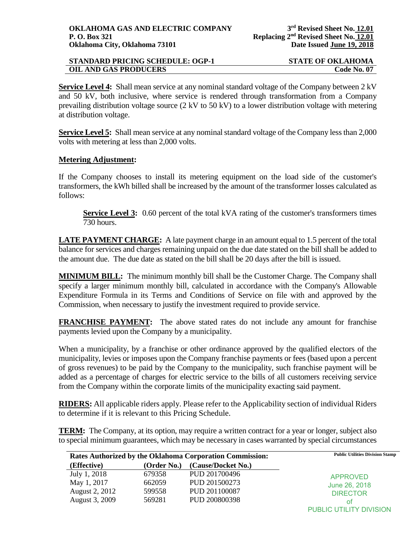| STANDARD PRICING SCHEDULE: OGP-1 | <b>STATE OF OKLAHOMA</b> |
|----------------------------------|--------------------------|
| <b>OIL AND GAS PRODUCERS</b>     | <b>Code No. 07</b>       |

**Service Level 4:** Shall mean service at any nominal standard voltage of the Company between 2 kV and 50 kV, both inclusive, where service is rendered through transformation from a Company prevailing distribution voltage source (2 kV to 50 kV) to a lower distribution voltage with metering at distribution voltage.

**Service Level 5:** Shall mean service at any nominal standard voltage of the Company less than 2,000 volts with metering at less than 2,000 volts.

## **Metering Adjustment:**

If the Company chooses to install its metering equipment on the load side of the customer's transformers, the kWh billed shall be increased by the amount of the transformer losses calculated as follows:

**Service Level 3:** 0.60 percent of the total kVA rating of the customer's transformers times 730 hours.

LATE PAYMENT CHARGE: A late payment charge in an amount equal to 1.5 percent of the total balance for services and charges remaining unpaid on the due date stated on the bill shall be added to the amount due. The due date as stated on the bill shall be 20 days after the bill is issued.

**MINIMUM BILL:** The minimum monthly bill shall be the Customer Charge. The Company shall specify a larger minimum monthly bill, calculated in accordance with the Company's Allowable Expenditure Formula in its Terms and Conditions of Service on file with and approved by the Commission, when necessary to justify the investment required to provide service.

**FRANCHISE PAYMENT:** The above stated rates do not include any amount for franchise payments levied upon the Company by a municipality.

When a municipality, by a franchise or other ordinance approved by the qualified electors of the municipality, levies or imposes upon the Company franchise payments or fees (based upon a percent of gross revenues) to be paid by the Company to the municipality, such franchise payment will be added as a percentage of charges for electric service to the bills of all customers receiving service from the Company within the corporate limits of the municipality exacting said payment.

**RIDERS:** All applicable riders apply. Please refer to the Applicability section of individual Riders to determine if it is relevant to this Pricing Schedule.

**TERM:** The Company, at its option, may require a written contract for a year or longer, subject also to special minimum guarantees, which may be necessary in cases warranted by special circumstances

| Rates Authorized by the Oklahoma Corporation Commission: |             |                    | <b>Public Utilities Division Stamp</b> |
|----------------------------------------------------------|-------------|--------------------|----------------------------------------|
| (Effective)                                              | (Order No.) | (Cause/Docket No.) |                                        |
| July 1, 2018                                             | 679358      | PUD 201700496      | APPROVED                               |
| May 1, 2017                                              | 662059      | PUD 201500273      | June 26, 2018                          |
| August 2, 2012                                           | 599558      | PUD 201100087      | <b>DIRECTOR</b>                        |
| August 3, 2009                                           | 569281      | PUD 200800398      | ot                                     |
|                                                          |             |                    | PUBLIC UTILITY DIVISION                |